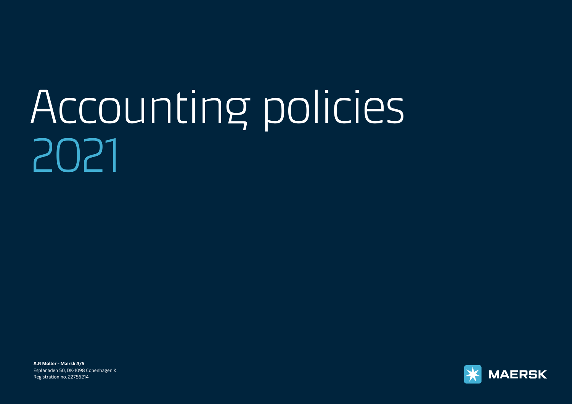# [Accounting policies](#page-1-0)  2021

**A.P. Møller - Mærsk A/S**  Esplanaden 50, DK-1098 Copenhagen K Registration no. 22756214

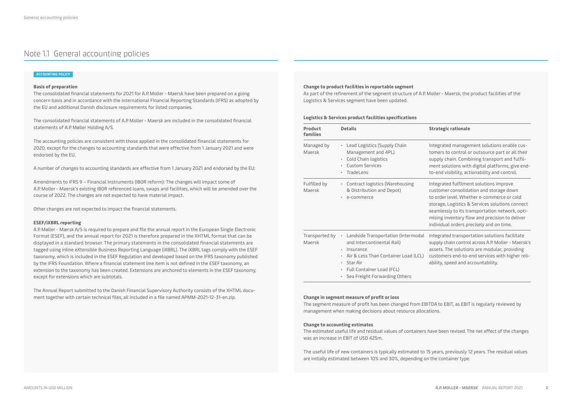# <span id="page-1-0"></span>Note 1.1 General accounting policies

## **ACCOUNTING POLICY**

# **Basis of preparation**

The consolidated financial statements for 2021 for A.P. Moller - Maersk have been prepared on a going concern basis and in accordance with the International Financial Reporting Standards (IFRS) as adopted by the EU and additional Danish disclosure requirements for listed companies.

The consolidated financial statements of A.P. Moller - Maersk are included in the consolidated financial statements of A.P. Møller Holding A/S.

The accounting policies are consistent with those applied in the consolidated financial statements for 2020, except for the changes to accounting standards that were effective from 1 January 2021 and were endorsed by the EU.

A number of changes to accounting standards are effective from 1 January 2021 and endorsed by the EU:

Amendments to IFRS 9 – Financial Instruments (IBOR reform): The changes will impact some of A.P. Moller - Maersk's existing IBOR referenced loans, swaps and facilities, which will be amended over the course of 2022. The changes are not expected to have material impact.

Other changes are not expected to impact the financial statements.

# **ESEF/iXBRL reporting**

A.P. Møller - Mærsk A/S is required to prepare and file the annual report in the European Single Electronic Format (ESEF), and the annual report for 2021 is therefore prepared in the XHTML format that can be displayed in a standard browser. The primary statements in the consolidated financial statements are tagged using inline eXtensible Business Reporting Language (iXBRL). The iXBRL tags comply with the ESEF taxonomy, which is included in the ESEF Regulation and developed based on the IFRS taxonomy published by the IFRS Foundation. Where a financial statement line item is not defined in the ESEF taxonomy, an extension to the taxonomy has been created. Extensions are anchored to elements in the ESEF taxonomy, except for extensions which are subtotals.

The Annual Report submitted to the Danish Financial Supervisory Authority consists of the XHTML document together with certain technical files, all included in a file named APMM-2021-12-31-en.zip.

# **Change to product facilities in reportable segment**

As part of the refinement of the segment structure of A.P. Moller - Maersk, the product facilities of the Logistics & Services segment have been updated.

### **Logistics & Services product facilities specifications**

| Product<br>families      | <b>Details</b>                                                                                                                                                                                                                      | <b>Strategic rationale</b>                                                                                                                                                                                                                                                                                                           |
|--------------------------|-------------------------------------------------------------------------------------------------------------------------------------------------------------------------------------------------------------------------------------|--------------------------------------------------------------------------------------------------------------------------------------------------------------------------------------------------------------------------------------------------------------------------------------------------------------------------------------|
| Managed by<br>Maersk     | Lead Logistics (Supply Chain<br>$\bullet$<br>Management and 4PL)<br>Cold Chain logistics<br>٠<br><b>Custom Services</b><br>٠<br>TradeLens<br>٠                                                                                      | Integrated management solutions enable cus-<br>tomers to control or outsource part or all their<br>supply chain. Combining transport and fulfil-<br>ment solutions with digital platforms, give end-<br>to-end visibility, actionability and control.                                                                                |
| Fulfilled by<br>Maersk   | • Contract logistics (Warehousing<br>& Distribution and Depot)<br>e-commerce<br>٠                                                                                                                                                   | Integrated fulfilment solutions improve<br>customer consolidation and storage down<br>to order level. Whether e-commerce or cold<br>storage, Logistics & Services solutions connect<br>seamlessly to its transportation network, opti-<br>mising inventory flow and precision to deliver<br>individual orders precisely and on time. |
| Transported by<br>Maersk | Landside Transportation (Intermodal<br>$\bullet$<br>and Intercontinental Rail)<br>Insurance<br>٠<br>Air & Less Than Container Load (LCL)<br>٠<br>Star Air<br>٠<br>Full Container Load (FCL)<br>٠<br>· Sea Freight Forwarding Others | Integrated transportation solutions facilitate<br>supply chain control across A.P. Moller - Maersk's<br>assets. The solutions are modular, providing<br>customers end-to-end services with higher reli-<br>ability, speed and accountability.                                                                                        |

# **Change in segment measure of profit or loss**

The segment measure of profit has been changed from EBITDA to EBIT, as EBIT is regularly reviewed by management when making decisions about resource allocations.

# **Change to accounting estimates**

The estimated useful life and residual values of containers have been revised. The net effect of the changes was an increase in EBIT of USD 425m.

The useful life of new containers is typically estimated to 15 years, previously 12 years. The residual values are initially estimated between 10% and 30%, depending on the container type.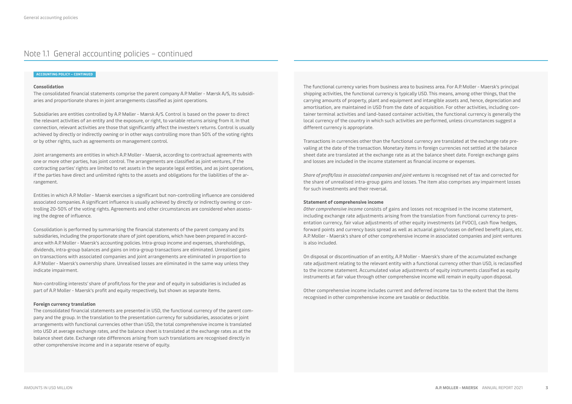# Note 1.1 General accounting policies – continued

#### **ACCOUNTING POLICY – CONTINUED**

# **Consolidation**

The consolidated financial statements comprise the parent company A.P. Møller - Mærsk A/S, its subsidiaries and proportionate shares in joint arrangements classified as joint operations.

Subsidiaries are entities controlled by A.P. Møller - Mærsk A/S. Control is based on the power to direct the relevant activities of an entity and the exposure, or right, to variable returns arising from it. In that connection, relevant activities are those that significantly affect the investee's returns. Control is usually achieved by directly or indirectly owning or in other ways controlling more than 50% of the voting rights or by other rights, such as agreements on management control.

Joint arrangements are entities in which A.P. Moller - Maersk, according to contractual agreements with one or more other parties, has joint control. The arrangements are classified as joint ventures, if the contracting parties' rights are limited to net assets in the separate legal entities, and as joint operations, if the parties have direct and unlimited rights to the assets and obligations for the liabilities of the arrangement.

Entities in which A.P. Moller - Maersk exercises a significant but non-controlling influence are considered associated companies. A significant influence is usually achieved by directly or indirectly owning or controlling 20-50% of the voting rights. Agreements and other circumstances are considered when assessing the degree of influence.

Consolidation is performed by summarising the financial statements of the parent company and its subsidiaries, including the proportionate share of joint operations, which have been prepared in accordance with A.P. Moller - Maersk's accounting policies. Intra-group income and expenses, shareholdings, dividends, intra-group balances and gains on intra-group transactions are eliminated. Unrealised gains on transactions with associated companies and joint arrangements are eliminated in proportion to A.P. Moller - Maersk's ownership share. Unrealised losses are eliminated in the same way unless they indicate impairment.

Non-controlling interests' share of profit/loss for the year and of equity in subsidiaries is included as part of A.P. Moller - Maersk's profit and equity respectively, but shown as separate items.

#### **Foreign currency translation**

The consolidated financial statements are presented in USD, the functional currency of the parent company and the group. In the translation to the presentation currency for subsidiaries, associates or joint arrangements with functional currencies other than USD, the total comprehensive income is translated into USD at average exchange rates, and the balance sheet is translated at the exchange rates as at the balance sheet date. Exchange rate differences arising from such translations are recognised directly in other comprehensive income and in a separate reserve of equity.

The functional currency varies from business area to business area. For A.P. Moller - Maersk's principal shipping activities, the functional currency is typically USD. This means, among other things, that the carrying amounts of property, plant and equipment and intangible assets and, hence, depreciation and amortisation, are maintained in USD from the date of acquisition. For other activities, including container terminal activities and land-based container activities, the functional currency is generally the local currency of the country in which such activities are performed, unless circumstances suggest a different currency is appropriate.

Transactions in currencies other than the functional currency are translated at the exchange rate prevailing at the date of the transaction. Monetary items in foreign currencies not settled at the balance sheet date are translated at the exchange rate as at the balance sheet date. Foreign exchange gains and losses are included in the income statement as financial income or expenses.

*Share of profit/loss in associated companies and joint ventures* is recognised net of tax and corrected for the share of unrealised intra-group gains and losses. The item also comprises any impairment losses for such investments and their reversal.

## **Statement of comprehensive income**

*Other comprehensive income* consists of gains and losses not recognised in the income statement, including exchange rate adjustments arising from the translation from functional currency to presentation currency, fair value adjustments of other equity investments (at FVOCI), cash flow hedges, forward points and currency basis spread as well as actuarial gains/losses on defined benefit plans, etc. A.P. Moller - Maersk's share of other comprehensive income in associated companies and joint ventures is also included.

On disposal or discontinuation of an entity, A.P. Moller - Maersk's share of the accumulated exchange rate adjustment relating to the relevant entity with a functional currency other than USD, is reclassified to the income statement. Accumulated value adjustments of equity instruments classified as equity instruments at fair value through other comprehensive income will remain in equity upon disposal.

Other comprehensive income includes current and deferred income tax to the extent that the items recognised in other comprehensive income are taxable or deductible.